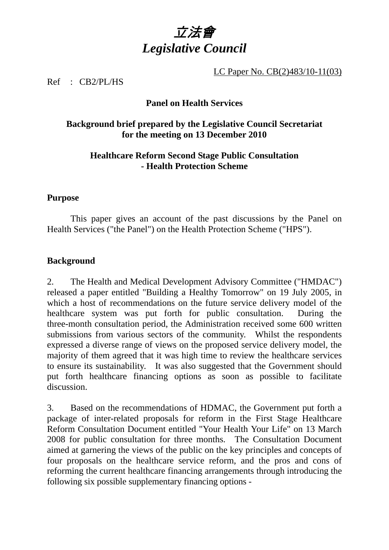

LC Paper No. CB(2)483/10-11(03)

Ref : CB2/PL/HS

#### **Panel on Health Services**

#### **Background brief prepared by the Legislative Council Secretariat for the meeting on 13 December 2010**

### **Healthcare Reform Second Stage Public Consultation - Health Protection Scheme**

#### **Purpose**

 This paper gives an account of the past discussions by the Panel on Health Services ("the Panel") on the Health Protection Scheme ("HPS").

#### **Background**

2. The Health and Medical Development Advisory Committee ("HMDAC") released a paper entitled "Building a Healthy Tomorrow" on 19 July 2005, in which a host of recommendations on the future service delivery model of the healthcare system was put forth for public consultation. During the three-month consultation period, the Administration received some 600 written submissions from various sectors of the community. Whilst the respondents expressed a diverse range of views on the proposed service delivery model, the majority of them agreed that it was high time to review the healthcare services to ensure its sustainability. It was also suggested that the Government should put forth healthcare financing options as soon as possible to facilitate discussion.

3. Based on the recommendations of HDMAC, the Government put forth a package of inter-related proposals for reform in the First Stage Healthcare Reform Consultation Document entitled "Your Health Your Life" on 13 March 2008 for public consultation for three months. The Consultation Document aimed at garnering the views of the public on the key principles and concepts of four proposals on the healthcare service reform, and the pros and cons of reforming the current healthcare financing arrangements through introducing the following six possible supplementary financing options -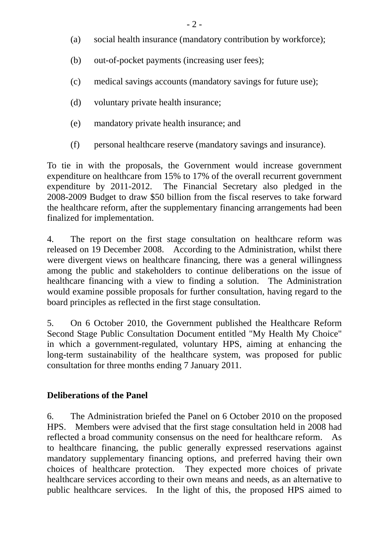- (a) social health insurance (mandatory contribution by workforce);
- (b) out-of-pocket payments (increasing user fees);
- (c) medical savings accounts (mandatory savings for future use);
- (d) voluntary private health insurance;
- (e) mandatory private health insurance; and
- (f) personal healthcare reserve (mandatory savings and insurance).

To tie in with the proposals, the Government would increase government expenditure on healthcare from 15% to 17% of the overall recurrent government expenditure by 2011-2012. The Financial Secretary also pledged in the 2008-2009 Budget to draw \$50 billion from the fiscal reserves to take forward the healthcare reform, after the supplementary financing arrangements had been finalized for implementation.

4. The report on the first stage consultation on healthcare reform was released on 19 December 2008. According to the Administration, whilst there were divergent views on healthcare financing, there was a general willingness among the public and stakeholders to continue deliberations on the issue of healthcare financing with a view to finding a solution. The Administration would examine possible proposals for further consultation, having regard to the board principles as reflected in the first stage consultation.

5. On 6 October 2010, the Government published the Healthcare Reform Second Stage Public Consultation Document entitled "My Health My Choice" in which a government-regulated, voluntary HPS, aiming at enhancing the long-term sustainability of the healthcare system, was proposed for public consultation for three months ending 7 January 2011.

# **Deliberations of the Panel**

6. The Administration briefed the Panel on 6 October 2010 on the proposed HPS. Members were advised that the first stage consultation held in 2008 had reflected a broad community consensus on the need for healthcare reform. As to healthcare financing, the public generally expressed reservations against mandatory supplementary financing options, and preferred having their own choices of healthcare protection. They expected more choices of private healthcare services according to their own means and needs, as an alternative to public healthcare services. In the light of this, the proposed HPS aimed to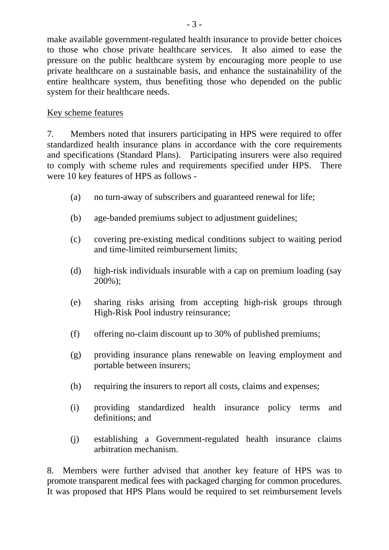make available government-regulated health insurance to provide better choices to those who chose private healthcare services. It also aimed to ease the pressure on the public healthcare system by encouraging more people to use private healthcare on a sustainable basis, and enhance the sustainability of the entire healthcare system, thus benefiting those who depended on the public system for their healthcare needs.

# Key scheme features

7. Members noted that insurers participating in HPS were required to offer standardized health insurance plans in accordance with the core requirements and specifications (Standard Plans). Participating insurers were also required to comply with scheme rules and requirements specified under HPS. There were 10 key features of HPS as follows -

- (a) no turn-away of subscribers and guaranteed renewal for life;
- (b) age-banded premiums subject to adjustment guidelines;
- (c) covering pre-existing medical conditions subject to waiting period and time-limited reimbursement limits;
- (d) high-risk individuals insurable with a cap on premium loading (say 200%);
- (e) sharing risks arising from accepting high-risk groups through High-Risk Pool industry reinsurance;
- (f) offering no-claim discount up to 30% of published premiums;
- (g) providing insurance plans renewable on leaving employment and portable between insurers;
- (h) requiring the insurers to report all costs, claims and expenses;
- (i) providing standardized health insurance policy terms and definitions; and
- (j) establishing a Government-regulated health insurance claims arbitration mechanism.

8. Members were further advised that another key feature of HPS was to promote transparent medical fees with packaged charging for common procedures. It was proposed that HPS Plans would be required to set reimbursement levels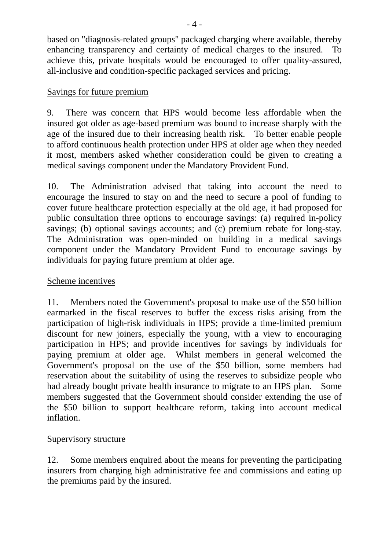based on "diagnosis-related groups" packaged charging where available, thereby enhancing transparency and certainty of medical charges to the insured. To achieve this, private hospitals would be encouraged to offer quality-assured, all-inclusive and condition-specific packaged services and pricing.

### Savings for future premium

9. There was concern that HPS would become less affordable when the insured got older as age-based premium was bound to increase sharply with the age of the insured due to their increasing health risk. To better enable people to afford continuous health protection under HPS at older age when they needed it most, members asked whether consideration could be given to creating a medical savings component under the Mandatory Provident Fund.

10. The Administration advised that taking into account the need to encourage the insured to stay on and the need to secure a pool of funding to cover future healthcare protection especially at the old age, it had proposed for public consultation three options to encourage savings: (a) required in-policy savings; (b) optional savings accounts; and (c) premium rebate for long-stay. The Administration was open-minded on building in a medical savings component under the Mandatory Provident Fund to encourage savings by individuals for paying future premium at older age.

# Scheme incentives

11. Members noted the Government's proposal to make use of the \$50 billion earmarked in the fiscal reserves to buffer the excess risks arising from the participation of high-risk individuals in HPS; provide a time-limited premium discount for new joiners, especially the young, with a view to encouraging participation in HPS; and provide incentives for savings by individuals for paying premium at older age. Whilst members in general welcomed the Government's proposal on the use of the \$50 billion, some members had reservation about the suitability of using the reserves to subsidize people who had already bought private health insurance to migrate to an HPS plan. Some members suggested that the Government should consider extending the use of the \$50 billion to support healthcare reform, taking into account medical inflation.

# Supervisory structure

12. Some members enquired about the means for preventing the participating insurers from charging high administrative fee and commissions and eating up the premiums paid by the insured.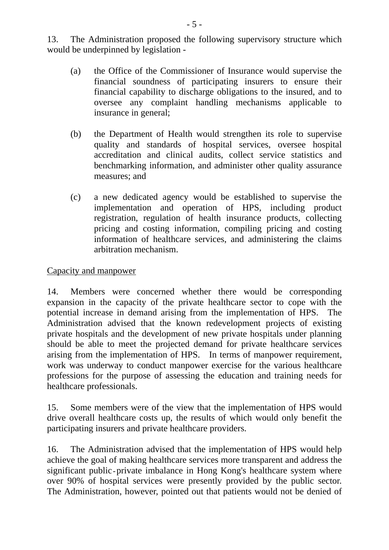13. The Administration proposed the following supervisory structure which would be underpinned by legislation -

- (a) the Office of the Commissioner of Insurance would supervise the financial soundness of participating insurers to ensure their financial capability to discharge obligations to the insured, and to oversee any complaint handling mechanisms applicable to insurance in general;
- (b) the Department of Health would strengthen its role to supervise quality and standards of hospital services, oversee hospital accreditation and clinical audits, collect service statistics and benchmarking information, and administer other quality assurance measures; and
- (c) a new dedicated agency would be established to supervise the implementation and operation of HPS, including product registration, regulation of health insurance products, collecting pricing and costing information, compiling pricing and costing information of healthcare services, and administering the claims arbitration mechanism.

### Capacity and manpower

14. Members were concerned whether there would be corresponding expansion in the capacity of the private healthcare sector to cope with the potential increase in demand arising from the implementation of HPS. The Administration advised that the known redevelopment projects of existing private hospitals and the development of new private hospitals under planning should be able to meet the projected demand for private healthcare services arising from the implementation of HPS. In terms of manpower requirement, work was underway to conduct manpower exercise for the various healthcare professions for the purpose of assessing the education and training needs for healthcare professionals.

15. Some members were of the view that the implementation of HPS would drive overall healthcare costs up, the results of which would only benefit the participating insurers and private healthcare providers.

16. The Administration advised that the implementation of HPS would help achieve the goal of making healthcare services more transparent and address the significant public - private imbalance in Hong Kong's healthcare system where over 90% of hospital services were presently provided by the public sector. The Administration, however, pointed out that patients would not be denied of